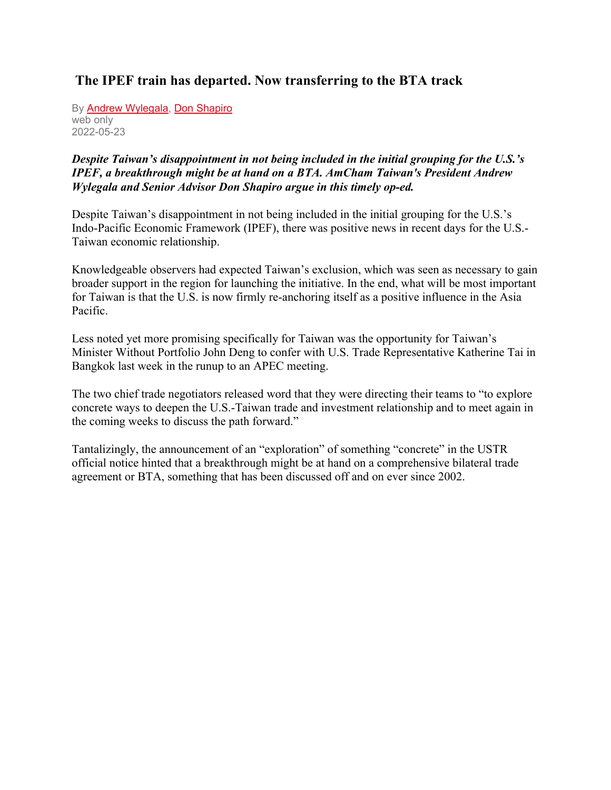## **The IPEF train has departed. Now transferring to the BTA track**

By [Andrew Wylegala,](https://english.cw.com.tw/search/doSearch.action?key=Andrew%20Wylegala) [Don Shapiro](https://english.cw.com.tw/search/doSearch.action?key=Don%20Shapiro) web only 2022-05-23

## *Despite Taiwan's disappointment in not being included in the initial grouping for the U.S.'s IPEF, a breakthrough might be at hand on a BTA. AmCham Taiwan's President Andrew Wylegala and Senior Advisor Don Shapiro argue in this timely op-ed.*

Despite Taiwan's disappointment in not being included in the initial grouping for the U.S.'s Indo-Pacific Economic Framework (IPEF), there was positive news in recent days for the U.S.- Taiwan economic relationship.

Knowledgeable observers had expected Taiwan's exclusion, which was seen as necessary to gain broader support in the region for launching the initiative. In the end, what will be most important for Taiwan is that the U.S. is now firmly re-anchoring itself as a positive influence in the Asia Pacific.

Less noted yet more promising specifically for Taiwan was the opportunity for Taiwan's Minister Without Portfolio John Deng to confer with U.S. Trade Representative Katherine Tai in Bangkok last week in the runup to an APEC meeting.

The two chief trade negotiators released word that they were directing their teams to "to explore concrete ways to deepen the U.S.-Taiwan trade and investment relationship and to meet again in the coming weeks to discuss the path forward."

Tantalizingly, the announcement of an "exploration" of something "concrete" in the USTR official notice hinted that a breakthrough might be at hand on a comprehensive bilateral trade agreement or BTA, something that has been discussed off and on ever since 2002.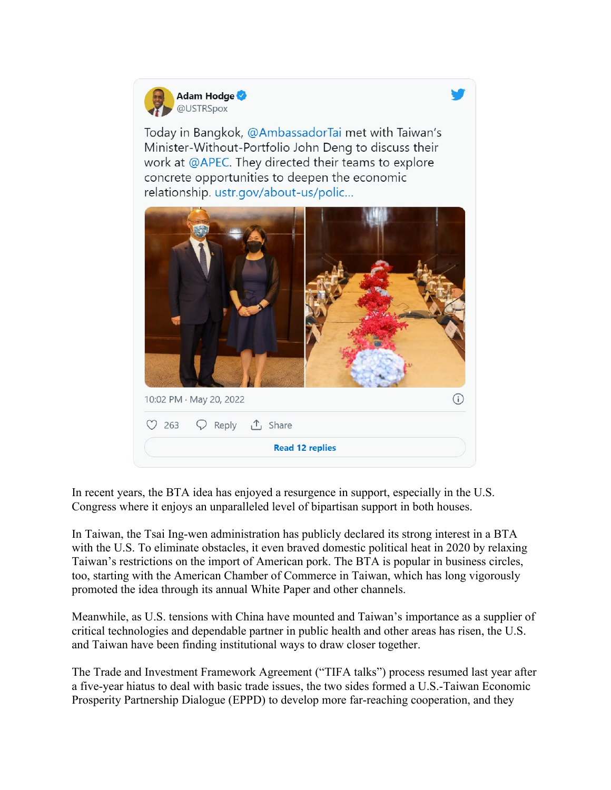

Today in Bangkok, @AmbassadorTai met with Taiwan's Minister-Without-Portfolio John Deng to discuss their work at @APEC. They directed their teams to explore concrete opportunities to deepen the economic relationship. ustr.gov/about-us/polic...



In recent years, the BTA idea has enjoyed a resurgence in support, especially in the U.S. Congress where it enjoys an unparalleled level of bipartisan support in both houses.

In Taiwan, the Tsai Ing-wen administration has publicly declared its strong interest in a BTA with the U.S. To eliminate obstacles, it even braved domestic political heat in 2020 by relaxing Taiwan's restrictions on the import of American pork. The BTA is popular in business circles, too, starting with the American Chamber of Commerce in Taiwan, which has long vigorously promoted the idea through its annual White Paper and other channels.

Meanwhile, as U.S. tensions with China have mounted and Taiwan's importance as a supplier of critical technologies and dependable partner in public health and other areas has risen, the U.S. and Taiwan have been finding institutional ways to draw closer together.

The Trade and Investment Framework Agreement ("TIFA talks") process resumed last year after a five-year hiatus to deal with basic trade issues, the two sides formed a U.S.-Taiwan Economic Prosperity Partnership Dialogue (EPPD) to develop more far-reaching cooperation, and they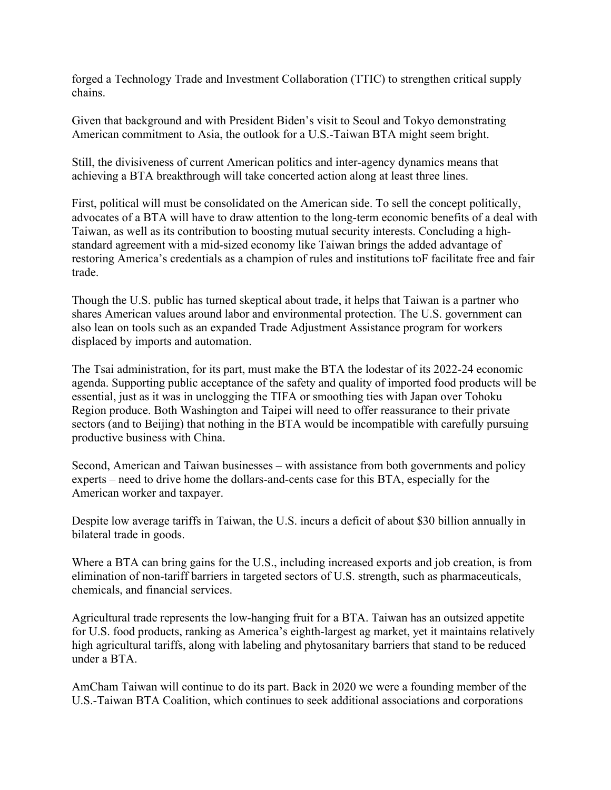forged a Technology Trade and Investment Collaboration (TTIC) to strengthen critical supply chains.

Given that background and with President Biden's visit to Seoul and Tokyo demonstrating American commitment to Asia, the outlook for a U.S.-Taiwan BTA might seem bright.

Still, the divisiveness of current American politics and inter-agency dynamics means that achieving a BTA breakthrough will take concerted action along at least three lines.

First, political will must be consolidated on the American side. To sell the concept politically, advocates of a BTA will have to draw attention to the long-term economic benefits of a deal with Taiwan, as well as its contribution to boosting mutual security interests. Concluding a highstandard agreement with a mid-sized economy like Taiwan brings the added advantage of restoring America's credentials as a champion of rules and institutions toF facilitate free and fair trade.

Though the U.S. public has turned skeptical about trade, it helps that Taiwan is a partner who shares American values around labor and environmental protection. The U.S. government can also lean on tools such as an expanded Trade Adjustment Assistance program for workers displaced by imports and automation.

The Tsai administration, for its part, must make the BTA the lodestar of its 2022-24 economic agenda. Supporting public acceptance of the safety and quality of imported food products will be essential, just as it was in unclogging the TIFA or smoothing ties with Japan over Tohoku Region produce. Both Washington and Taipei will need to offer reassurance to their private sectors (and to Beijing) that nothing in the BTA would be incompatible with carefully pursuing productive business with China.

Second, American and Taiwan businesses – with assistance from both governments and policy experts – need to drive home the dollars-and-cents case for this BTA, especially for the American worker and taxpayer.

Despite low average tariffs in Taiwan, the U.S. incurs a deficit of about \$30 billion annually in bilateral trade in goods.

Where a BTA can bring gains for the U.S., including increased exports and job creation, is from elimination of non-tariff barriers in targeted sectors of U.S. strength, such as pharmaceuticals, chemicals, and financial services.

Agricultural trade represents the low-hanging fruit for a BTA. Taiwan has an outsized appetite for U.S. food products, ranking as America's eighth-largest ag market, yet it maintains relatively high agricultural tariffs, along with labeling and phytosanitary barriers that stand to be reduced under a BTA.

AmCham Taiwan will continue to do its part. Back in 2020 we were a founding member of the U.S.-Taiwan BTA Coalition, which continues to seek additional associations and corporations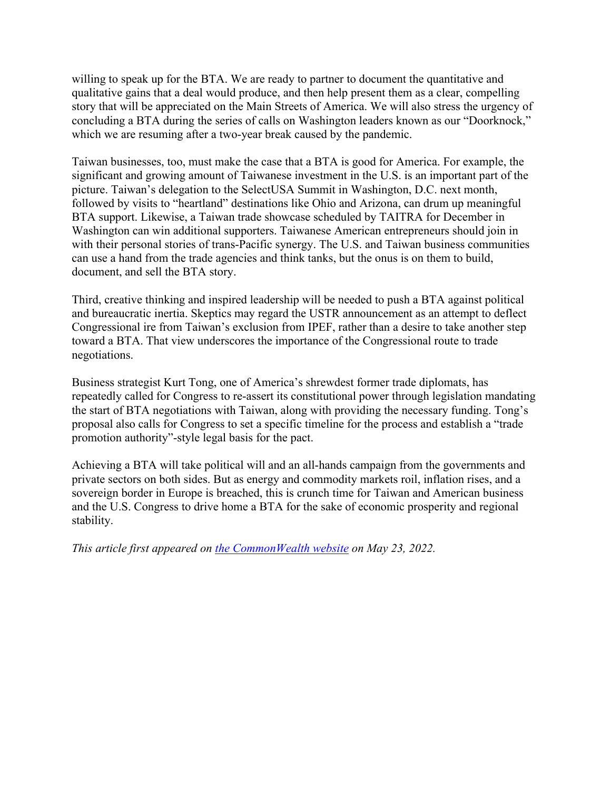willing to speak up for the BTA. We are ready to partner to document the quantitative and qualitative gains that a deal would produce, and then help present them as a clear, compelling story that will be appreciated on the Main Streets of America. We will also stress the urgency of concluding a BTA during the series of calls on Washington leaders known as our "Doorknock," which we are resuming after a two-year break caused by the pandemic.

Taiwan businesses, too, must make the case that a BTA is good for America. For example, the significant and growing amount of Taiwanese investment in the U.S. is an important part of the picture. Taiwan's delegation to the SelectUSA Summit in Washington, D.C. next month, followed by visits to "heartland" destinations like Ohio and Arizona, can drum up meaningful BTA support. Likewise, a Taiwan trade showcase scheduled by TAITRA for December in Washington can win additional supporters. Taiwanese American entrepreneurs should join in with their personal stories of trans-Pacific synergy. The U.S. and Taiwan business communities can use a hand from the trade agencies and think tanks, but the onus is on them to build, document, and sell the BTA story.

Third, creative thinking and inspired leadership will be needed to push a BTA against political and bureaucratic inertia. Skeptics may regard the USTR announcement as an attempt to deflect Congressional ire from Taiwan's exclusion from IPEF, rather than a desire to take another step toward a BTA. That view underscores the importance of the Congressional route to trade negotiations.

Business strategist Kurt Tong, one of America's shrewdest former trade diplomats, has repeatedly called for Congress to re-assert its constitutional power through legislation mandating the start of BTA negotiations with Taiwan, along with providing the necessary funding. Tong's proposal also calls for Congress to set a specific timeline for the process and establish a "trade promotion authority"-style legal basis for the pact.

Achieving a BTA will take political will and an all-hands campaign from the governments and private sectors on both sides. But as energy and commodity markets roil, inflation rises, and a sovereign border in Europe is breached, this is crunch time for Taiwan and American business and the U.S. Congress to drive home a BTA for the sake of economic prosperity and regional stability.

*This article first appeared on [the CommonWealth website](https://english.cw.com.tw/article/article.action?id=3232) on May 23, 2022.*